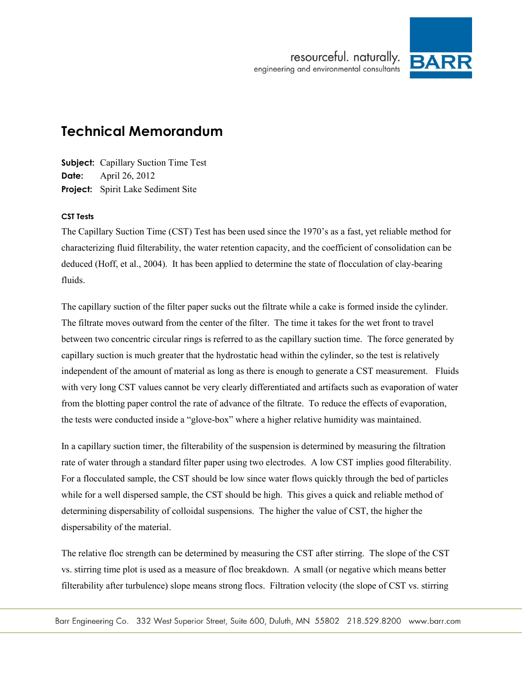

# **Technical Memorandum**

**Subject:** Capillary Suction Time Test **Date:** April 26, 2012 **Project:** Spirit Lake Sediment Site

### **CST Tests**

The Capillary Suction Time (CST) Test has been used since the 1970's as a fast, yet reliable method for characterizing fluid filterability, the water retention capacity, and the coefficient of consolidation can be deduced (Hoff, et al., 2004). It has been applied to determine the state of flocculation of clay-bearing fluids.

The capillary suction of the filter paper sucks out the filtrate while a cake is formed inside the cylinder. The filtrate moves outward from the center of the filter. The time it takes for the wet front to travel between two concentric circular rings is referred to as the capillary suction time. The force generated by capillary suction is much greater that the hydrostatic head within the cylinder, so the test is relatively independent of the amount of material as long as there is enough to generate a CST measurement. Fluids with very long CST values cannot be very clearly differentiated and artifacts such as evaporation of water from the blotting paper control the rate of advance of the filtrate. To reduce the effects of evaporation, the tests were conducted inside a "glove-box" where a higher relative humidity was maintained.

In a capillary suction timer, the filterability of the suspension is determined by measuring the filtration rate of water through a standard filter paper using two electrodes. A low CST implies good filterability. For a flocculated sample, the CST should be low since water flows quickly through the bed of particles while for a well dispersed sample, the CST should be high. This gives a quick and reliable method of determining dispersability of colloidal suspensions. The higher the value of CST, the higher the dispersability of the material.

The relative floc strength can be determined by measuring the CST after stirring. The slope of the CST vs. stirring time plot is used as a measure of floc breakdown. A small (or negative which means better filterability after turbulence) slope means strong flocs. Filtration velocity (the slope of CST vs. stirring

Barr Engineering Co. 332 West Superior Street, Suite 600, Duluth, MN 55802 218.529.8200 www.barr.com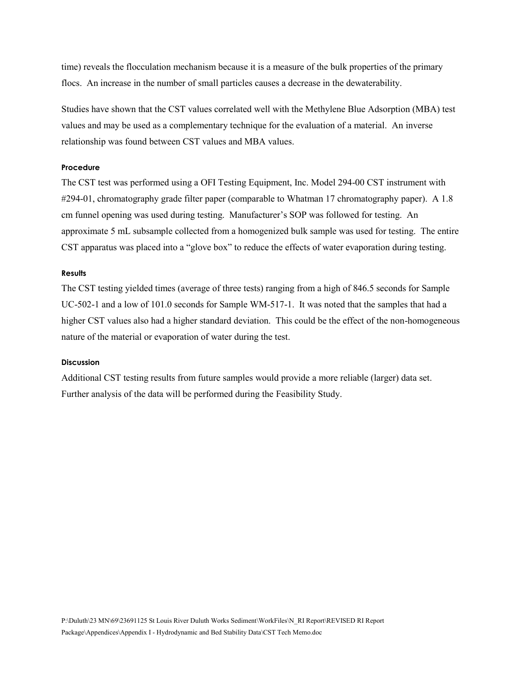time) reveals the flocculation mechanism because it is a measure of the bulk properties of the primary flocs. An increase in the number of small particles causes a decrease in the dewaterability.

Studies have shown that the CST values correlated well with the Methylene Blue Adsorption (MBA) test values and may be used as a complementary technique for the evaluation of a material. An inverse relationship was found between CST values and MBA values.

#### **Procedure**

The CST test was performed using a OFI Testing Equipment, Inc. Model 294-00 CST instrument with #294-01, chromatography grade filter paper (comparable to Whatman 17 chromatography paper). A 1.8 cm funnel opening was used during testing. Manufacturer's SOP was followed for testing. An approximate 5 mL subsample collected from a homogenized bulk sample was used for testing. The entire CST apparatus was placed into a "glove box" to reduce the effects of water evaporation during testing.

#### **Results**

The CST testing yielded times (average of three tests) ranging from a high of 846.5 seconds for Sample UC-502-1 and a low of 101.0 seconds for Sample WM-517-1. It was noted that the samples that had a higher CST values also had a higher standard deviation. This could be the effect of the non-homogeneous nature of the material or evaporation of water during the test.

#### **Discussion**

Additional CST testing results from future samples would provide a more reliable (larger) data set. Further analysis of the data will be performed during the Feasibility Study.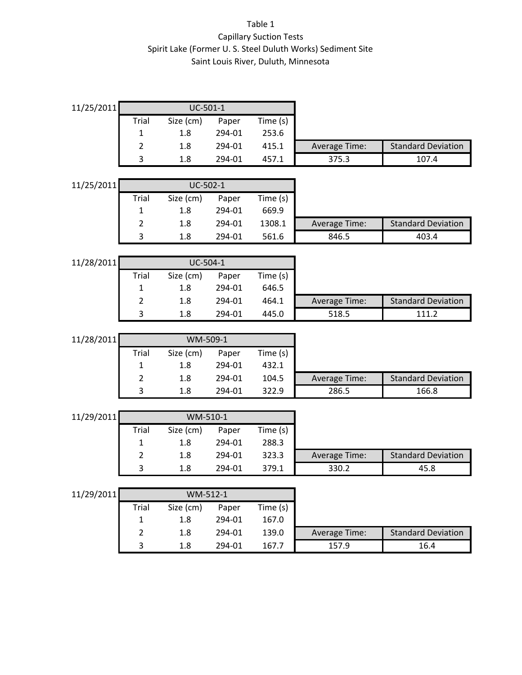## Table 1 Capillary Suction Tests Spirit Lake (Former U. S. Steel Duluth Works) Sediment Site Saint Louis River, Duluth, Minnesota

| 11/25/2011             | UC-501-1       |                  |                 |                   |               |                           |
|------------------------|----------------|------------------|-----------------|-------------------|---------------|---------------------------|
|                        | Trial          | Size (cm)        | Paper           | Time (s)          |               |                           |
|                        | 1              | 1.8              | 294-01          | 253.6             |               |                           |
|                        | $\overline{2}$ | 1.8              | 294-01          | 415.1             | Average Time: | <b>Standard Deviation</b> |
|                        | 3              | 1.8              | 294-01          | 457.1             | 375.3         | 107.4                     |
|                        |                |                  |                 |                   |               |                           |
| UC-502-1<br>11/25/2011 |                |                  |                 |                   |               |                           |
|                        | <b>Trial</b>   | Size (cm)        | Paper           | Time (s)          |               |                           |
|                        | $\mathbf{1}$   | 1.8              | 294-01          | 669.9             |               |                           |
|                        | $\overline{2}$ | 1.8              | 294-01          | 1308.1            | Average Time: | <b>Standard Deviation</b> |
|                        | 3              | 1.8              | 294-01          | 561.6             | 846.5         | 403.4                     |
|                        |                |                  |                 |                   |               |                           |
| 11/28/2011             |                | UC-504-1         |                 |                   |               |                           |
|                        | Trial          | Size (cm)        | Paper           | Time (s)          |               |                           |
|                        | $\mathbf{1}$   | 1.8              | 294-01          | 646.5             |               |                           |
|                        | $\overline{2}$ | 1.8              | 294-01          | 464.1             | Average Time: | <b>Standard Deviation</b> |
|                        | 3              | 1.8              | 294-01          | 445.0             | 518.5         | 111.2                     |
| WM-509-1               |                |                  |                 |                   |               |                           |
| 11/28/2011             |                |                  |                 |                   |               |                           |
|                        | Trial<br>1     | Size (cm)<br>1.8 | Paper<br>294-01 | Time (s)<br>432.1 |               |                           |
|                        | $\overline{2}$ | 1.8              | 294-01          | 104.5             | Average Time: | <b>Standard Deviation</b> |
|                        | 3              | 1.8              | 294-01          | 322.9             | 286.5         | 166.8                     |
|                        |                |                  |                 |                   |               |                           |
| 11/29/2011<br>WM-510-1 |                |                  |                 |                   |               |                           |
|                        | <b>Trial</b>   | Size (cm)        | Paper           | Time (s)          |               |                           |
|                        | 1              | 1.8              | 294-01          | 288.3             |               |                           |
|                        | $\overline{2}$ | 1.8              | 294-01          | 323.3             | Average Time: | <b>Standard Deviation</b> |
|                        | 3              | 1.8              | 294-01          | 379.1             | 330.2         | 45.8                      |
|                        |                |                  |                 |                   |               |                           |
| 11/29/2011<br>WM-512-1 |                |                  |                 |                   |               |                           |
|                        | <b>Trial</b>   | Size (cm)        | Paper           | Time (s)          |               |                           |
|                        | 1              | 1.8              | 294-01          | 167.0             |               |                           |
|                        | $\overline{2}$ | 1.8              | 294-01          | 139.0             | Average Time: | <b>Standard Deviation</b> |
|                        | 3              |                  | 294-01          | 167.7             | 157.9         |                           |